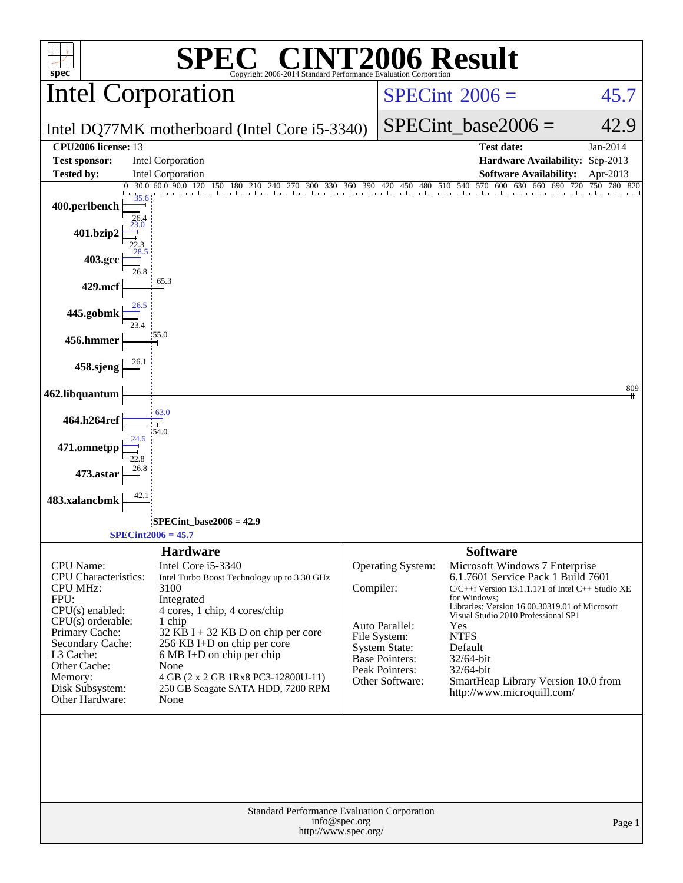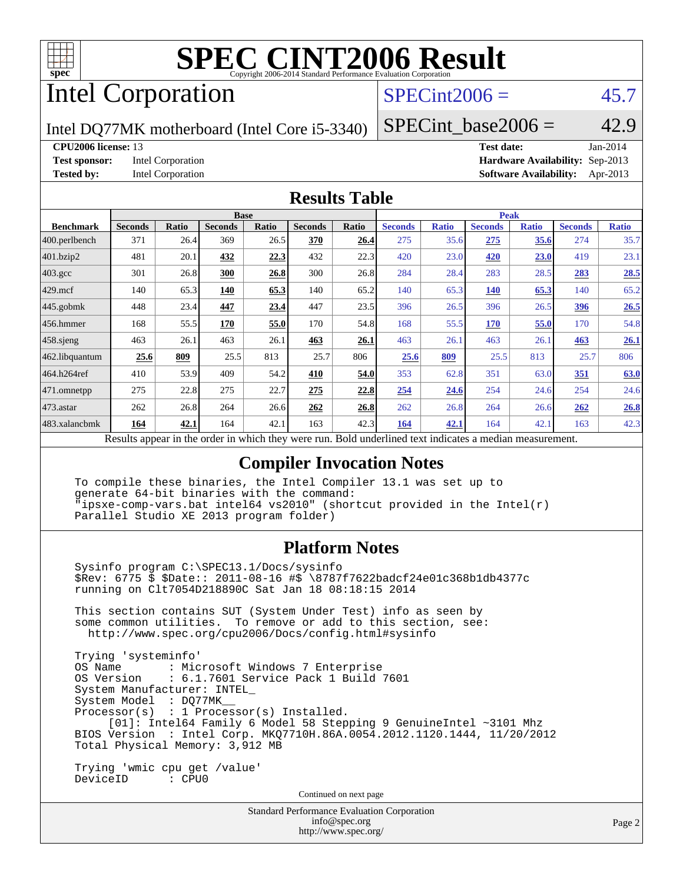

# Intel Corporation

### $SPECint2006 = 45.7$  $SPECint2006 = 45.7$

Intel DQ77MK motherboard (Intel Core i5-3340)

SPECint base2006 =  $42.9$ 

**[CPU2006 license:](http://www.spec.org/auto/cpu2006/Docs/result-fields.html#CPU2006license)** 13 **[Test date:](http://www.spec.org/auto/cpu2006/Docs/result-fields.html#Testdate)** Jan-2014 **[Test sponsor:](http://www.spec.org/auto/cpu2006/Docs/result-fields.html#Testsponsor)** Intel Corporation **[Hardware Availability:](http://www.spec.org/auto/cpu2006/Docs/result-fields.html#HardwareAvailability)** Sep-2013 **[Tested by:](http://www.spec.org/auto/cpu2006/Docs/result-fields.html#Testedby)** Intel Corporation **[Software Availability:](http://www.spec.org/auto/cpu2006/Docs/result-fields.html#SoftwareAvailability)** Apr-2013

### **[Results Table](http://www.spec.org/auto/cpu2006/Docs/result-fields.html#ResultsTable)**

|                                                                                                                 | <b>Base</b>    |              |                |              | <b>Peak</b>    |              |                |              |                |              |                |              |
|-----------------------------------------------------------------------------------------------------------------|----------------|--------------|----------------|--------------|----------------|--------------|----------------|--------------|----------------|--------------|----------------|--------------|
| <b>Benchmark</b>                                                                                                | <b>Seconds</b> | <b>Ratio</b> | <b>Seconds</b> | <b>Ratio</b> | <b>Seconds</b> | <b>Ratio</b> | <b>Seconds</b> | <b>Ratio</b> | <b>Seconds</b> | <b>Ratio</b> | <b>Seconds</b> | <b>Ratio</b> |
| 400.perlbench                                                                                                   | 371            | 26.4         | 369            | 26.5         | 370            | 26.4         | 275            | 35.6         | 275            | 35.6         | 274            | 35.7         |
| 401.bzip2                                                                                                       | 481            | 20.1         | 432            | 22.3         | 432            | 22.3         | 420            | 23.0         | 420            | 23.0         | 419            | 23.1         |
| $403.\mathrm{gcc}$                                                                                              | 301            | 26.8         | 300            | 26.8         | 300            | 26.8         | 284            | 28.4         | 283            | 28.5         | 283            | 28.5         |
| $429$ .mcf                                                                                                      | 140            | 65.3         | <b>140</b>     | 65.3         | 140            | 65.2         | 140            | 65.3         | 140            | 65.3         | 140            | 65.2         |
| $445$ .gobmk                                                                                                    | 448            | 23.4         | 447            | 23.4         | 447            | 23.5         | 396            | 26.5         | 396            | 26.5         | <u>396</u>     | 26.5         |
| $ 456$ .hmmer                                                                                                   | 168            | 55.5         | 170            | 55.0         | 170            | 54.8         | 168            | 55.5         | <b>170</b>     | 55.0         | 170            | 54.8         |
| $458$ .sjeng                                                                                                    | 463            | 26.1         | 463            | 26.1         | 463            | 26.1         | 463            | 26.1         | 463            | 26.1         | 463            | 26.1         |
| 462.libquantum                                                                                                  | 25.6           | 809          | 25.5           | 813          | 25.7           | 806          | 25.6           | 809          | 25.5           | 813          | 25.7           | 806          |
| 464.h264ref                                                                                                     | 410            | 53.9         | 409            | 54.2         | 410            | 54.0         | 353            | 62.8         | 351            | 63.0         | 351            | 63.0         |
| 471.omnetpp                                                                                                     | 275            | 22.8         | 275            | 22.7         | 275            | 22.8         | 254            | 24.6         | 254            | 24.6         | 254            | 24.6         |
| $473$ . astar                                                                                                   | 262            | 26.8         | 264            | 26.6         | 262            | 26.8         | 262            | 26.8         | 264            | 26.6         | 262            | 26.8         |
| 483.xalancbmk                                                                                                   | 164            | 42.1         | 164            | 42.1         | 163            | 42.3         | 164            | 42.1         | 164            | 42.1         | 163            | 42.3         |
| Decute ennear in the order in which they were min<br><b>Dold</b> underlined text indicates a modian measurement |                |              |                |              |                |              |                |              |                |              |                |              |

Results appear in the [order in which they were run.](http://www.spec.org/auto/cpu2006/Docs/result-fields.html#RunOrder) Bold underlined text [indicates a median measurement.](http://www.spec.org/auto/cpu2006/Docs/result-fields.html#Median)

### **[Compiler Invocation Notes](http://www.spec.org/auto/cpu2006/Docs/result-fields.html#CompilerInvocationNotes)**

 To compile these binaries, the Intel Compiler 13.1 was set up to generate 64-bit binaries with the command: "ipsxe-comp-vars.bat intel64 vs2010" (shortcut provided in the Intel(r) Parallel Studio XE 2013 program folder)

### **[Platform Notes](http://www.spec.org/auto/cpu2006/Docs/result-fields.html#PlatformNotes)**

 Sysinfo program C:\SPEC13.1/Docs/sysinfo \$Rev: 6775 \$ \$Date:: 2011-08-16 #\$ \8787f7622badcf24e01c368b1db4377c running on Clt7054D218890C Sat Jan 18 08:18:15 2014

 This section contains SUT (System Under Test) info as seen by some common utilities. To remove or add to this section, see: <http://www.spec.org/cpu2006/Docs/config.html#sysinfo>

 Trying 'systeminfo' : Microsoft Windows 7 Enterprise OS Version : 6.1.7601 Service Pack 1 Build 7601 System Manufacturer: INTEL\_ System Model : DQ77MK\_\_ Processor(s) : 1 Processor(s) Installed. [01]: Intel64 Family 6 Model 58 Stepping 9 GenuineIntel ~3101 Mhz BIOS Version : Intel Corp. MKQ7710H.86A.0054.2012.1120.1444, 11/20/2012 Total Physical Memory: 3,912 MB Trying 'wmic cpu get /value'

DeviceID : CPU0

Continued on next page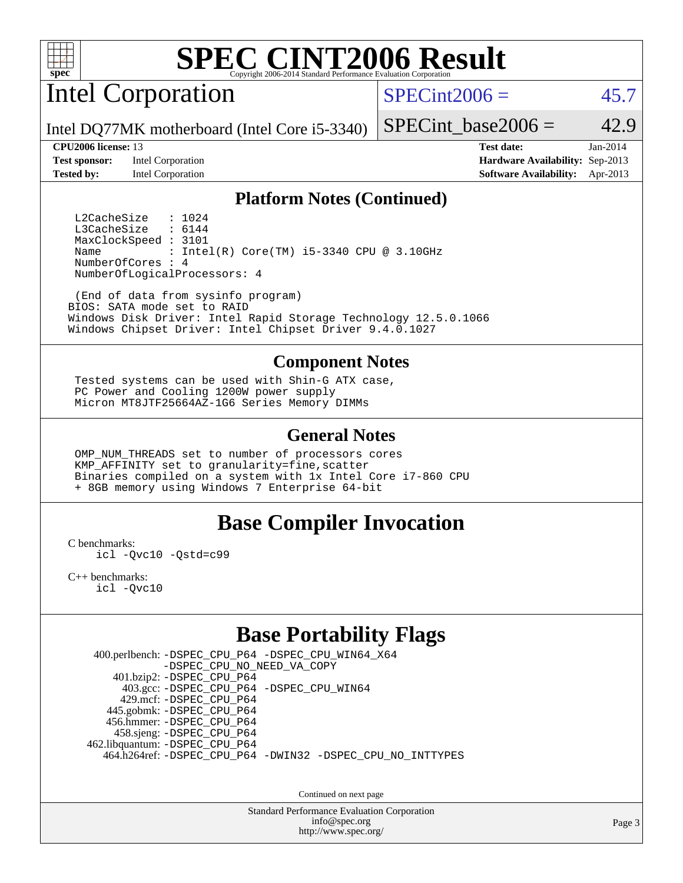

Intel Corporation

 $SPECint2006 = 45.7$  $SPECint2006 = 45.7$ 

Intel DQ77MK motherboard (Intel Core i5-3340)

**[Test sponsor:](http://www.spec.org/auto/cpu2006/Docs/result-fields.html#Testsponsor)** Intel Corporation **[Hardware Availability:](http://www.spec.org/auto/cpu2006/Docs/result-fields.html#HardwareAvailability)** Sep-2013

SPECint base2006 =  $42.9$ 

**[CPU2006 license:](http://www.spec.org/auto/cpu2006/Docs/result-fields.html#CPU2006license)** 13 **[Test date:](http://www.spec.org/auto/cpu2006/Docs/result-fields.html#Testdate)** Jan-2014 **[Tested by:](http://www.spec.org/auto/cpu2006/Docs/result-fields.html#Testedby)** Intel Corporation **[Software Availability:](http://www.spec.org/auto/cpu2006/Docs/result-fields.html#SoftwareAvailability)** Apr-2013

### **[Platform Notes \(Continued\)](http://www.spec.org/auto/cpu2006/Docs/result-fields.html#PlatformNotes)**

L2CacheSize : 1024<br>L3CacheSize : 6144 L3CacheSize MaxClockSpeed : 3101 Name : Intel(R)  $Core(TM)$  i5-3340 CPU @ 3.10GHz NumberOfCores : 4 NumberOfLogicalProcessors: 4

 (End of data from sysinfo program) BIOS: SATA mode set to RAID Windows Disk Driver: Intel Rapid Storage Technology 12.5.0.1066 Windows Chipset Driver: Intel Chipset Driver 9.4.0.1027

#### **[Component Notes](http://www.spec.org/auto/cpu2006/Docs/result-fields.html#ComponentNotes)**

 Tested systems can be used with Shin-G ATX case, PC Power and Cooling 1200W power supply Micron MT8JTF25664AZ-1G6 Series Memory DIMMs

#### **[General Notes](http://www.spec.org/auto/cpu2006/Docs/result-fields.html#GeneralNotes)**

 OMP\_NUM\_THREADS set to number of processors cores KMP\_AFFINITY set to granularity=fine,scatter Binaries compiled on a system with 1x Intel Core i7-860 CPU + 8GB memory using Windows 7 Enterprise 64-bit

### **[Base Compiler Invocation](http://www.spec.org/auto/cpu2006/Docs/result-fields.html#BaseCompilerInvocation)**

[C benchmarks](http://www.spec.org/auto/cpu2006/Docs/result-fields.html#Cbenchmarks):

[icl -Qvc10](http://www.spec.org/cpu2006/results/res2014q3/cpu2006-20140701-30233.flags.html#user_CCbase_intel_icc_vc10_9607f3ecbcdf68042245f068e51b40c1) [-Qstd=c99](http://www.spec.org/cpu2006/results/res2014q3/cpu2006-20140701-30233.flags.html#user_CCbase_intel_compiler_c99_mode_1a3d110e3041b3ad4466830521bdad2a)

[C++ benchmarks:](http://www.spec.org/auto/cpu2006/Docs/result-fields.html#CXXbenchmarks) [icl -Qvc10](http://www.spec.org/cpu2006/results/res2014q3/cpu2006-20140701-30233.flags.html#user_CXXbase_intel_icc_vc10_9607f3ecbcdf68042245f068e51b40c1)

## **[Base Portability Flags](http://www.spec.org/auto/cpu2006/Docs/result-fields.html#BasePortabilityFlags)**

 400.perlbench: [-DSPEC\\_CPU\\_P64](http://www.spec.org/cpu2006/results/res2014q3/cpu2006-20140701-30233.flags.html#b400.perlbench_basePORTABILITY_DSPEC_CPU_P64) [-DSPEC\\_CPU\\_WIN64\\_X64](http://www.spec.org/cpu2006/results/res2014q3/cpu2006-20140701-30233.flags.html#b400.perlbench_baseCPORTABILITY_DSPEC_CPU_WIN64_X64) [-DSPEC\\_CPU\\_NO\\_NEED\\_VA\\_COPY](http://www.spec.org/cpu2006/results/res2014q3/cpu2006-20140701-30233.flags.html#b400.perlbench_baseCPORTABILITY_DSPEC_CPU_NO_NEED_VA_COPY) 401.bzip2: [-DSPEC\\_CPU\\_P64](http://www.spec.org/cpu2006/results/res2014q3/cpu2006-20140701-30233.flags.html#suite_basePORTABILITY401_bzip2_DSPEC_CPU_P64) 403.gcc: [-DSPEC\\_CPU\\_P64](http://www.spec.org/cpu2006/results/res2014q3/cpu2006-20140701-30233.flags.html#suite_basePORTABILITY403_gcc_DSPEC_CPU_P64) [-DSPEC\\_CPU\\_WIN64](http://www.spec.org/cpu2006/results/res2014q3/cpu2006-20140701-30233.flags.html#b403.gcc_baseCPORTABILITY_DSPEC_CPU_WIN64) 429.mcf: [-DSPEC\\_CPU\\_P64](http://www.spec.org/cpu2006/results/res2014q3/cpu2006-20140701-30233.flags.html#suite_basePORTABILITY429_mcf_DSPEC_CPU_P64) 445.gobmk: [-DSPEC\\_CPU\\_P64](http://www.spec.org/cpu2006/results/res2014q3/cpu2006-20140701-30233.flags.html#suite_basePORTABILITY445_gobmk_DSPEC_CPU_P64) 456.hmmer: [-DSPEC\\_CPU\\_P64](http://www.spec.org/cpu2006/results/res2014q3/cpu2006-20140701-30233.flags.html#suite_basePORTABILITY456_hmmer_DSPEC_CPU_P64) 458.sjeng: [-DSPEC\\_CPU\\_P64](http://www.spec.org/cpu2006/results/res2014q3/cpu2006-20140701-30233.flags.html#suite_basePORTABILITY458_sjeng_DSPEC_CPU_P64) 462.libquantum: [-DSPEC\\_CPU\\_P64](http://www.spec.org/cpu2006/results/res2014q3/cpu2006-20140701-30233.flags.html#suite_basePORTABILITY462_libquantum_DSPEC_CPU_P64) 464.h264ref: [-DSPEC\\_CPU\\_P64](http://www.spec.org/cpu2006/results/res2014q3/cpu2006-20140701-30233.flags.html#suite_basePORTABILITY464_h264ref_DSPEC_CPU_P64) [-DWIN32](http://www.spec.org/cpu2006/results/res2014q3/cpu2006-20140701-30233.flags.html#b464.h264ref_baseCPORTABILITY_DWIN32) [-DSPEC\\_CPU\\_NO\\_INTTYPES](http://www.spec.org/cpu2006/results/res2014q3/cpu2006-20140701-30233.flags.html#b464.h264ref_baseCPORTABILITY_DSPEC_CPU_NO_INTTYPES)

Continued on next page

Standard Performance Evaluation Corporation [info@spec.org](mailto:info@spec.org) <http://www.spec.org/>

Page 3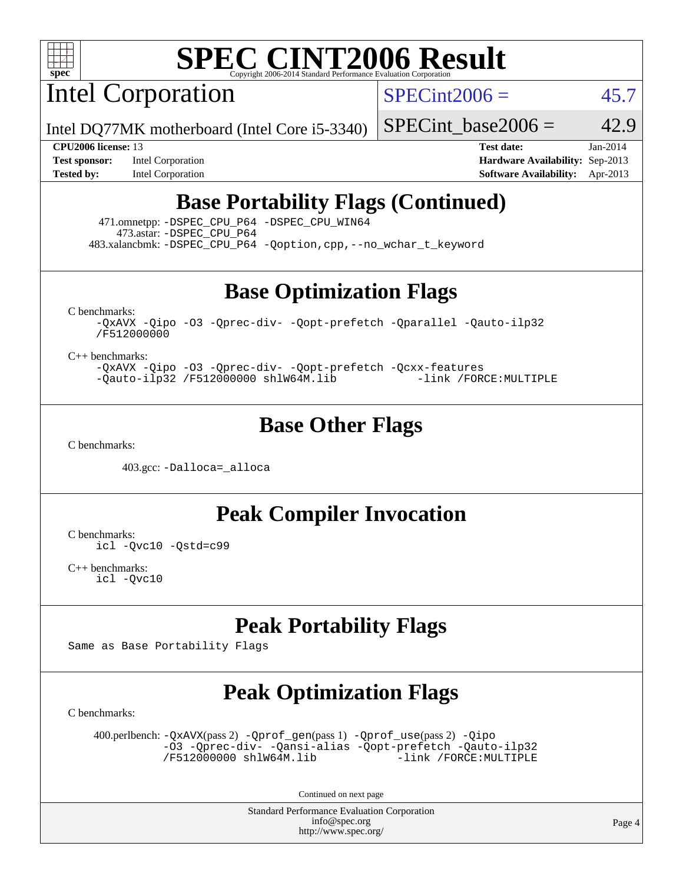

Intel Corporation

 $SPECint2006 = 45.7$  $SPECint2006 = 45.7$ 

Intel DQ77MK motherboard (Intel Core i5-3340)

**[Tested by:](http://www.spec.org/auto/cpu2006/Docs/result-fields.html#Testedby)** Intel Corporation **[Software Availability:](http://www.spec.org/auto/cpu2006/Docs/result-fields.html#SoftwareAvailability)** Apr-2013

**[CPU2006 license:](http://www.spec.org/auto/cpu2006/Docs/result-fields.html#CPU2006license)** 13 **[Test date:](http://www.spec.org/auto/cpu2006/Docs/result-fields.html#Testdate)** Jan-2014 **[Test sponsor:](http://www.spec.org/auto/cpu2006/Docs/result-fields.html#Testsponsor)** Intel Corporation **[Hardware Availability:](http://www.spec.org/auto/cpu2006/Docs/result-fields.html#HardwareAvailability)** Sep-2013

SPECint base2006 =  $42.9$ 

# **[Base Portability Flags \(Continued\)](http://www.spec.org/auto/cpu2006/Docs/result-fields.html#BasePortabilityFlags)**

 471.omnetpp: [-DSPEC\\_CPU\\_P64](http://www.spec.org/cpu2006/results/res2014q3/cpu2006-20140701-30233.flags.html#suite_basePORTABILITY471_omnetpp_DSPEC_CPU_P64) [-DSPEC\\_CPU\\_WIN64](http://www.spec.org/cpu2006/results/res2014q3/cpu2006-20140701-30233.flags.html#b471.omnetpp_baseCXXPORTABILITY_DSPEC_CPU_WIN64) 473.astar: [-DSPEC\\_CPU\\_P64](http://www.spec.org/cpu2006/results/res2014q3/cpu2006-20140701-30233.flags.html#suite_basePORTABILITY473_astar_DSPEC_CPU_P64) 483.xalancbmk: [-DSPEC\\_CPU\\_P64](http://www.spec.org/cpu2006/results/res2014q3/cpu2006-20140701-30233.flags.html#suite_basePORTABILITY483_xalancbmk_DSPEC_CPU_P64) [-Qoption,cpp,--no\\_wchar\\_t\\_keyword](http://www.spec.org/cpu2006/results/res2014q3/cpu2006-20140701-30233.flags.html#user_baseCXXPORTABILITY483_xalancbmk_f-no_wchar_t_keyword_ec0ad4495a16b4e858bfcb29d949d25d)

**[Base Optimization Flags](http://www.spec.org/auto/cpu2006/Docs/result-fields.html#BaseOptimizationFlags)**

[C benchmarks](http://www.spec.org/auto/cpu2006/Docs/result-fields.html#Cbenchmarks):

[-QxAVX](http://www.spec.org/cpu2006/results/res2014q3/cpu2006-20140701-30233.flags.html#user_CCbase_f-QxAVX) [-Qipo](http://www.spec.org/cpu2006/results/res2014q3/cpu2006-20140701-30233.flags.html#user_CCbase_f-Qipo) [-O3](http://www.spec.org/cpu2006/results/res2014q3/cpu2006-20140701-30233.flags.html#user_CCbase_f-O3) [-Qprec-div-](http://www.spec.org/cpu2006/results/res2014q3/cpu2006-20140701-30233.flags.html#user_CCbase_f-Qprec-div-) [-Qopt-prefetch](http://www.spec.org/cpu2006/results/res2014q3/cpu2006-20140701-30233.flags.html#user_CCbase_f-Qprefetch_37c211608666b9dff9380561f602f0a8) [-Qparallel](http://www.spec.org/cpu2006/results/res2014q3/cpu2006-20140701-30233.flags.html#user_CCbase_f-Qparallel) [-Qauto-ilp32](http://www.spec.org/cpu2006/results/res2014q3/cpu2006-20140701-30233.flags.html#user_CCbase_f-Qauto-ilp32) [/F512000000](http://www.spec.org/cpu2006/results/res2014q3/cpu2006-20140701-30233.flags.html#user_CCbase_set_stack_space_98438a10eb60aa5f35f4c79d9b9b27b1)

[C++ benchmarks:](http://www.spec.org/auto/cpu2006/Docs/result-fields.html#CXXbenchmarks)

[-QxAVX](http://www.spec.org/cpu2006/results/res2014q3/cpu2006-20140701-30233.flags.html#user_CXXbase_f-QxAVX) [-Qipo](http://www.spec.org/cpu2006/results/res2014q3/cpu2006-20140701-30233.flags.html#user_CXXbase_f-Qipo) [-O3](http://www.spec.org/cpu2006/results/res2014q3/cpu2006-20140701-30233.flags.html#user_CXXbase_f-O3) [-Qprec-div-](http://www.spec.org/cpu2006/results/res2014q3/cpu2006-20140701-30233.flags.html#user_CXXbase_f-Qprec-div-) [-Qopt-prefetch](http://www.spec.org/cpu2006/results/res2014q3/cpu2006-20140701-30233.flags.html#user_CXXbase_f-Qprefetch_37c211608666b9dff9380561f602f0a8) [-Qcxx-features](http://www.spec.org/cpu2006/results/res2014q3/cpu2006-20140701-30233.flags.html#user_CXXbase_f-Qcxx_features_dbf36c8a6dba956e22f1645e4dcd4d98) [-Qauto-ilp32](http://www.spec.org/cpu2006/results/res2014q3/cpu2006-20140701-30233.flags.html#user_CXXbase_f-Qauto-ilp32) [/F512000000](http://www.spec.org/cpu2006/results/res2014q3/cpu2006-20140701-30233.flags.html#user_CXXbase_set_stack_space_98438a10eb60aa5f35f4c79d9b9b27b1) [shlW64M.lib](http://www.spec.org/cpu2006/results/res2014q3/cpu2006-20140701-30233.flags.html#user_CXXbase_SmartHeap64_c4f7f76711bdf8c0633a5c1edf6e5396) [-link /FORCE:MULTIPLE](http://www.spec.org/cpu2006/results/res2014q3/cpu2006-20140701-30233.flags.html#user_CXXbase_link_force_multiple2_070fe330869edf77077b841074b8b0b6)

### **[Base Other Flags](http://www.spec.org/auto/cpu2006/Docs/result-fields.html#BaseOtherFlags)**

[C benchmarks](http://www.spec.org/auto/cpu2006/Docs/result-fields.html#Cbenchmarks):

403.gcc: [-Dalloca=\\_alloca](http://www.spec.org/cpu2006/results/res2014q3/cpu2006-20140701-30233.flags.html#b403.gcc_baseEXTRA_CFLAGS_Dalloca_be3056838c12de2578596ca5467af7f3)

**[Peak Compiler Invocation](http://www.spec.org/auto/cpu2006/Docs/result-fields.html#PeakCompilerInvocation)**

[C benchmarks](http://www.spec.org/auto/cpu2006/Docs/result-fields.html#Cbenchmarks): [icl -Qvc10](http://www.spec.org/cpu2006/results/res2014q3/cpu2006-20140701-30233.flags.html#user_CCpeak_intel_icc_vc10_9607f3ecbcdf68042245f068e51b40c1) [-Qstd=c99](http://www.spec.org/cpu2006/results/res2014q3/cpu2006-20140701-30233.flags.html#user_CCpeak_intel_compiler_c99_mode_1a3d110e3041b3ad4466830521bdad2a)

[C++ benchmarks:](http://www.spec.org/auto/cpu2006/Docs/result-fields.html#CXXbenchmarks) [icl -Qvc10](http://www.spec.org/cpu2006/results/res2014q3/cpu2006-20140701-30233.flags.html#user_CXXpeak_intel_icc_vc10_9607f3ecbcdf68042245f068e51b40c1)

## **[Peak Portability Flags](http://www.spec.org/auto/cpu2006/Docs/result-fields.html#PeakPortabilityFlags)**

Same as Base Portability Flags

# **[Peak Optimization Flags](http://www.spec.org/auto/cpu2006/Docs/result-fields.html#PeakOptimizationFlags)**

[C benchmarks](http://www.spec.org/auto/cpu2006/Docs/result-fields.html#Cbenchmarks):

 400.perlbench: [-QxAVX](http://www.spec.org/cpu2006/results/res2014q3/cpu2006-20140701-30233.flags.html#user_peakPASS2_CFLAGSPASS2_LDFLAGS400_perlbench_f-QxAVX)(pass 2) [-Qprof\\_gen](http://www.spec.org/cpu2006/results/res2014q3/cpu2006-20140701-30233.flags.html#user_peakPASS1_CFLAGSPASS1_LDFLAGS400_perlbench_Qprof_gen)(pass 1) [-Qprof\\_use](http://www.spec.org/cpu2006/results/res2014q3/cpu2006-20140701-30233.flags.html#user_peakPASS2_CFLAGSPASS2_LDFLAGS400_perlbench_Qprof_use)(pass 2) [-Qipo](http://www.spec.org/cpu2006/results/res2014q3/cpu2006-20140701-30233.flags.html#user_peakOPTIMIZE400_perlbench_f-Qipo) [-O3](http://www.spec.org/cpu2006/results/res2014q3/cpu2006-20140701-30233.flags.html#user_peakOPTIMIZE400_perlbench_f-O3) [-Qprec-div-](http://www.spec.org/cpu2006/results/res2014q3/cpu2006-20140701-30233.flags.html#user_peakOPTIMIZE400_perlbench_f-Qprec-div-) [-Qansi-alias](http://www.spec.org/cpu2006/results/res2014q3/cpu2006-20140701-30233.flags.html#user_peakOPTIMIZE400_perlbench_f-Qansi-alias) [-Qopt-prefetch](http://www.spec.org/cpu2006/results/res2014q3/cpu2006-20140701-30233.flags.html#user_peakOPTIMIZE400_perlbench_f-Qprefetch_37c211608666b9dff9380561f602f0a8) [-Qauto-ilp32](http://www.spec.org/cpu2006/results/res2014q3/cpu2006-20140701-30233.flags.html#user_peakCOPTIMIZE400_perlbench_f-Qauto-ilp32) [/F512000000](http://www.spec.org/cpu2006/results/res2014q3/cpu2006-20140701-30233.flags.html#user_peakEXTRA_LDFLAGS400_perlbench_set_stack_space_98438a10eb60aa5f35f4c79d9b9b27b1) [shlW64M.lib](http://www.spec.org/cpu2006/results/res2014q3/cpu2006-20140701-30233.flags.html#user_peakEXTRA_LIBS400_perlbench_SmartHeap64_c4f7f76711bdf8c0633a5c1edf6e5396)

Continued on next page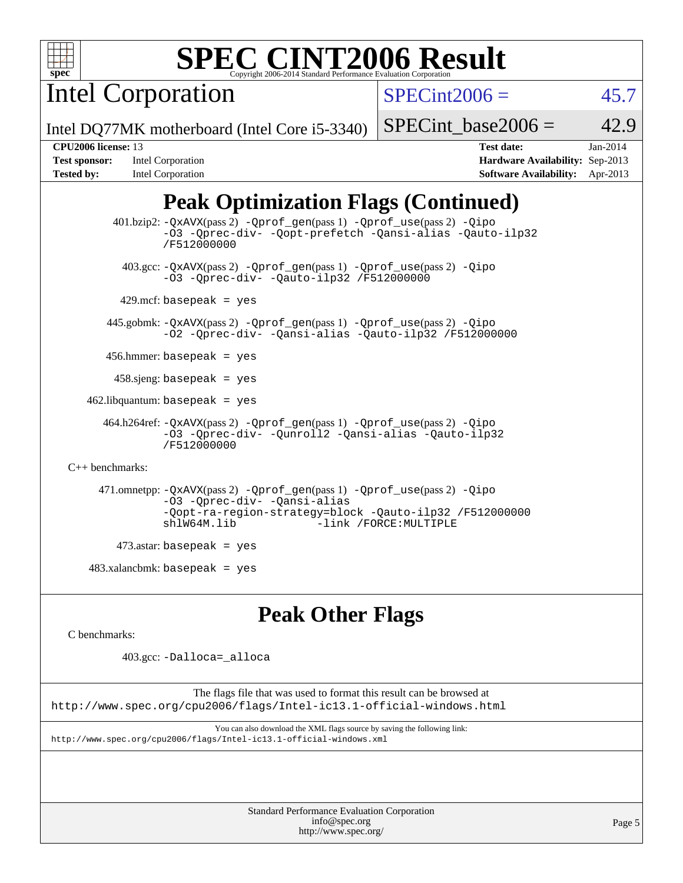

Intel Corporation

 $SPECint2006 =$  45.7

Intel DQ77MK motherboard (Intel Core i5-3340)

**[Test sponsor:](http://www.spec.org/auto/cpu2006/Docs/result-fields.html#Testsponsor)** Intel Corporation **[Hardware Availability:](http://www.spec.org/auto/cpu2006/Docs/result-fields.html#HardwareAvailability)** Sep-2013

SPECint base2006 =  $42.9$ **[CPU2006 license:](http://www.spec.org/auto/cpu2006/Docs/result-fields.html#CPU2006license)** 13 **[Test date:](http://www.spec.org/auto/cpu2006/Docs/result-fields.html#Testdate)** Jan-2014

# **[Tested by:](http://www.spec.org/auto/cpu2006/Docs/result-fields.html#Testedby)** Intel Corporation **[Software Availability:](http://www.spec.org/auto/cpu2006/Docs/result-fields.html#SoftwareAvailability)** Apr-2013

# **[Peak Optimization Flags \(Continued\)](http://www.spec.org/auto/cpu2006/Docs/result-fields.html#PeakOptimizationFlags)**

```
 401.bzip2: -QxAVX(pass 2) -Qprof_gen(pass 1) -Qprof_use(pass 2) -Qipo
                -O3 -Qprec-div- -Qopt-prefetch -Qansi-alias -Qauto-ilp32
                /F512000000
          403.gcc: -QxAVX(pass 2) -Qprof_gen(pass 1) -Qprof_use(pass 2) -Qipo
                -O3 -Qprec-div- -Qauto-ilp32 /F512000000
        429.mcf: basepeak = yes
       445.gobmk: -QxAVX(pass 2) -Qprof_gen(pass 1) -Qprof_use(pass 2) -Qipo
                -O2 -Qprec-div- -Qansi-alias -Qauto-ilp32 /F512000000
      456.hmmer: basepeak = yes
        458.sjeng: basepeak = yes
   462.libquantum: basepeak = yes
      464.h264ref: -QxAVX(pass 2) -Qprof_gen(pass 1) -Qprof_use(pass 2) -Qipo
                -O3 -Qprec-div- -Qunroll2 -Qansi-alias -Qauto-ilp32
                /F512000000
C++ benchmarks: 
      471.omnetpp: -QxAVX(pass 2) -Qprof_gen(pass 1) -Qprof_use(pass 2) -Qipo
                -O3 -Qprec-div- -Qansi-alias
                -Qopt-ra-region-strategy=block -Qauto-ilp32 /F512000000
                                          -link /FORCE: MULTIPLE
         473.astar: basepeak = yes
   483.xalanchmk: basepeak = yes
```
## **[Peak Other Flags](http://www.spec.org/auto/cpu2006/Docs/result-fields.html#PeakOtherFlags)**

[C benchmarks](http://www.spec.org/auto/cpu2006/Docs/result-fields.html#Cbenchmarks):

403.gcc: [-Dalloca=\\_alloca](http://www.spec.org/cpu2006/results/res2014q3/cpu2006-20140701-30233.flags.html#b403.gcc_peakEXTRA_CFLAGS_Dalloca_be3056838c12de2578596ca5467af7f3)

The flags file that was used to format this result can be browsed at <http://www.spec.org/cpu2006/flags/Intel-ic13.1-official-windows.html>

You can also download the XML flags source by saving the following link: <http://www.spec.org/cpu2006/flags/Intel-ic13.1-official-windows.xml>